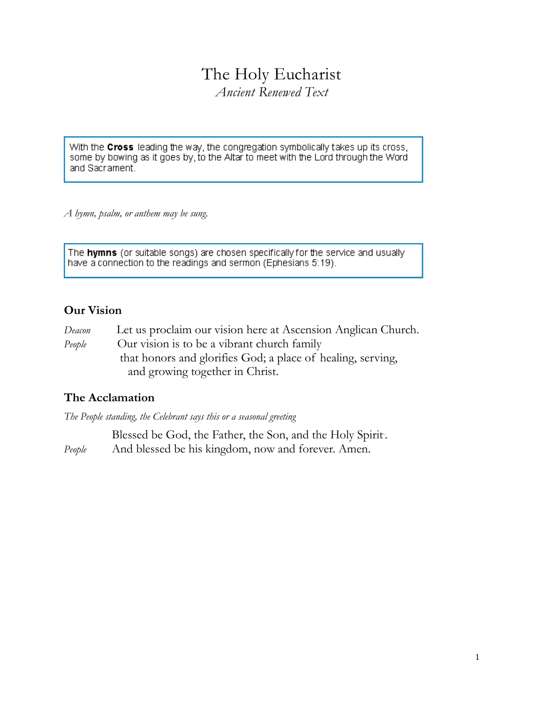# The Holy Eucharist

*Ancient Renewed Text*

With the Cross leading the way, the congregation symbolically takes up its cross, some by bowing as it goes by, to the Altar to meet with the Lord through the Word and Sacrament.

*A hymn, psalm, or anthem may be sung.*

The **hymns** (or suitable songs) are chosen specifically for the service and usually have a connection to the readings and sermon (Ephesians 5:19).

# **Our Vision**

*Deacon* Let us proclaim our vision here at Ascension Anglican Church. *People* Our vision is to be a vibrant church family that honors and glorifies God; a place of healing, serving, and growing together in Christ.

# **The Acclamation**

*The People standing, the Celebrant says this or a seasonal greeting* 

Blessed be God, the Father, the Son, and the Holy Spirit. . *People* And blessed be his kingdom, now and forever. Amen.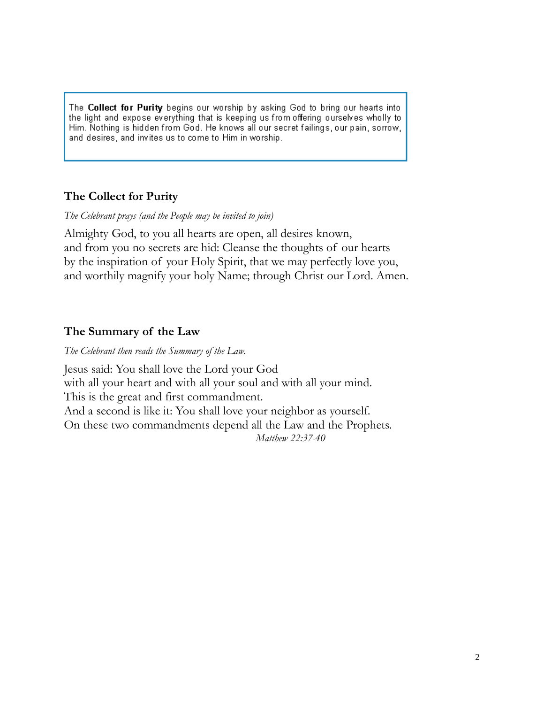The Collect for Purity begins our worship by asking God to bring our hearts into the light and expose everything that is keeping us from offering ourselves wholly to Him. Nothing is hidden from God. He knows all our secret failings, our pain, sorrow, and desires, and invites us to come to Him in worship.

# **The Collect for Purity**

*The Celebrant prays (and the People may be invited to join)*

Almighty God, to you all hearts are open, all desires known, and from you no secrets are hid: Cleanse the thoughts of our hearts by the inspiration of your Holy Spirit, that we may perfectly love you, and worthily magnify your holy Name; through Christ our Lord. Amen.

# **The Summary of the Law**

*The Celebrant then reads the Summary of the Law.* 

Jesus said: You shall love the Lord your God with all your heart and with all your soul and with all your mind. This is the great and first commandment. And a second is like it: You shall love your neighbor as yourself. On these two commandments depend all the Law and the Prophets. *Matthew 22:37-40*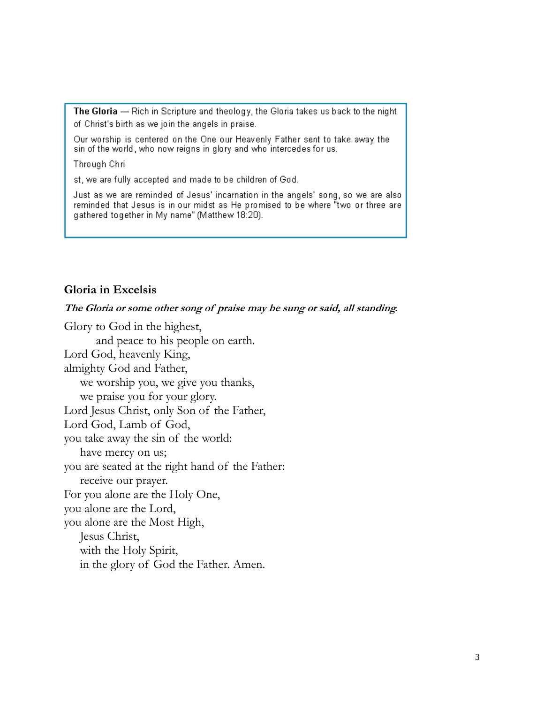The Gloria - Rich in Scripture and theology, the Gloria takes us back to the night of Christ's birth as we join the angels in praise.

Our worship is centered on the One our Heavenly Father sent to take away the sin of the world, who now reigns in glory and who intercedes for us.

Through Chri

st, we are fully accepted and made to be children of God.

Just as we are reminded of Jesus' incarnation in the angels' song, so we are also reminded that Jesus is in our midst as He promised to be where "two or three are gathered together in My name" (Matthew 18:20).

#### **Gloria in Excelsis**

#### **The Gloria or some other song of praise may be sung or said, all standing.**

Glory to God in the highest, and peace to his people on earth. Lord God, heavenly King, almighty God and Father, we worship you, we give you thanks, we praise you for your glory. Lord Jesus Christ, only Son of the Father, Lord God, Lamb of God, you take away the sin of the world: have mercy on us; you are seated at the right hand of the Father: receive our prayer. For you alone are the Holy One, you alone are the Lord, you alone are the Most High, Jesus Christ, with the Holy Spirit, in the glory of God the Father. Amen.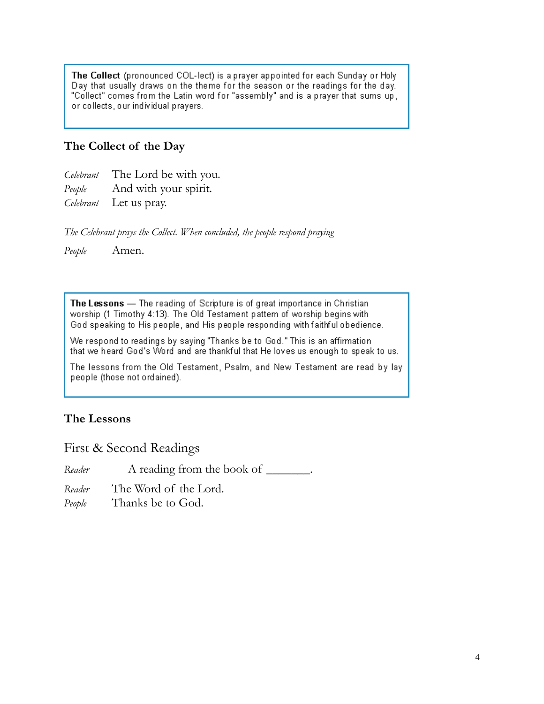The Collect (pronounced COL-lect) is a prayer appointed for each Sunday or Holy Day that usually draws on the theme for the season or the readings for the day. "Collect" comes from the Latin word for "assembly" and is a prayer that sums up, or collects, our individual prayers.

## **The Collect of the Day**

*Celebrant* The Lord be with you.

*People* And with your spirit.

*Celebrant* Let us pray.

*The Celebrant prays the Collect. When concluded, the people respond praying*

*People* Amen.

The Lessons - The reading of Scripture is of great importance in Christian worship (1 Timothy 4:13). The Old Testament pattern of worship begins with God speaking to His people, and His people responding with faithful obedience.

We respond to readings by saying "Thanks be to God." This is an affirmation that we heard God's Word and are thankful that He loves us enough to speak to us.

The lessons from the Old Testament, Psalm, and New Testament are read by lay people (those not ordained).

## **The Lessons**

First & Second Readings

*Reader* A reading from the book of \_\_\_\_\_\_\_.

*Reader* The Word of the Lord.

*People* Thanks be to God.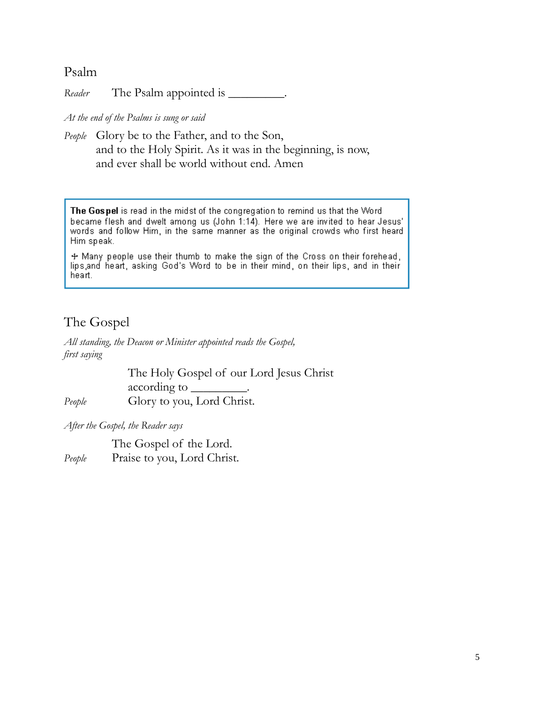## Psalm

*Reader* The Psalm appointed is \_\_\_\_\_\_\_\_\_.

*At the end of the Psalms is sung or said*

*People* Glory be to the Father, and to the Son, and to the Holy Spirit. As it was in the beginning, is now, and ever shall be world without end. Amen

The Gospel is read in the midst of the congregation to remind us that the Word became flesh and dwelt among us (John 1:14). Here we are invited to hear Jesus' words and follow Him, in the same manner as the original crowds who first heard Him speak.

+ Many people use their thumb to make the sign of the Cross on their forehead, lips and heart, asking God's Word to be in their mind, on their lips, and in their heart.

# The Gospel

*All standing, the Deacon or Minister appointed reads the Gospel, first saying*

The Holy Gospel of our Lord Jesus Christ according to \_\_\_\_\_\_\_\_\_. *People* Glory to you, Lord Christ.

*After the Gospel, the Reader says*

The Gospel of the Lord. People Praise to you, Lord Christ.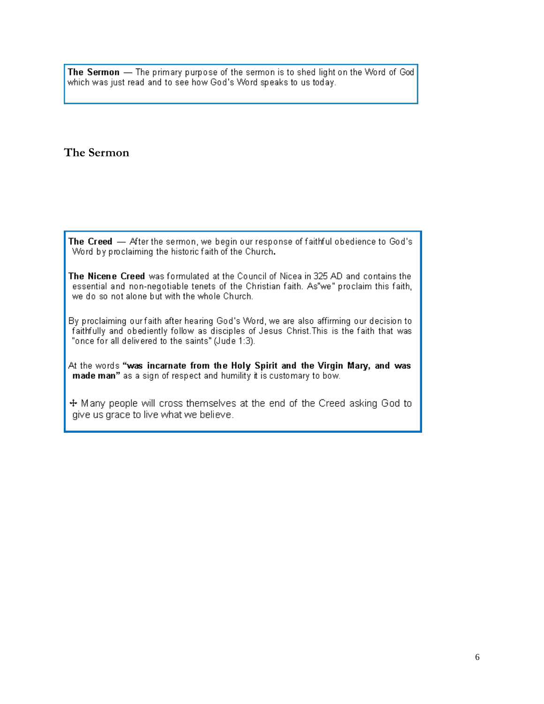The Sermon - The primary purpose of the sermon is to shed light on the Word of God which was just read and to see how God's Word speaks to us today.

#### **The Sermon**

The Creed - After the sermon, we begin our response of faithful obedience to God's Word by proclaiming the historic faith of the Church.

The Nicene Creed was formulated at the Council of Nicea in 325 AD and contains the essential and non-negotiable tenets of the Christian faith. As"we" proclaim this faith, we do so not alone but with the whole Church.

By proclaiming our faith after hearing God's Word, we are also affirming our decision to faithfully and obediently follow as disciples of Jesus Christ. This is the faith that was "once for all delivered to the saints" (Jude 1:3).

At the words "was incarnate from the Holy Spirit and the Virgin Mary, and was made man" as a sign of respect and humility it is customary to bow.

+ Many people will cross themselves at the end of the Creed asking God to give us grace to live what we believe.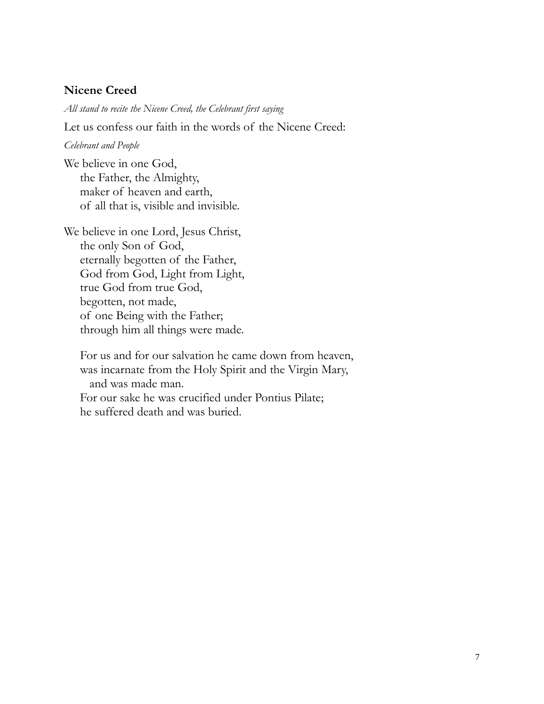#### **Nicene Creed**

*All stand to recite the Nicene Creed, the Celebrant first saying* 

Let us confess our faith in the words of the Nicene Creed:

#### *Celebrant and People*

We believe in one God, the Father, the Almighty, maker of heaven and earth, of all that is, visible and invisible.

We believe in one Lord, Jesus Christ, the only Son of God, eternally begotten of the Father, God from God, Light from Light, true God from true God, begotten, not made, of one Being with the Father; through him all things were made.

For us and for our salvation he came down from heaven, was incarnate from the Holy Spirit and the Virgin Mary, and was made man. For our sake he was crucified under Pontius Pilate; he suffered death and was buried.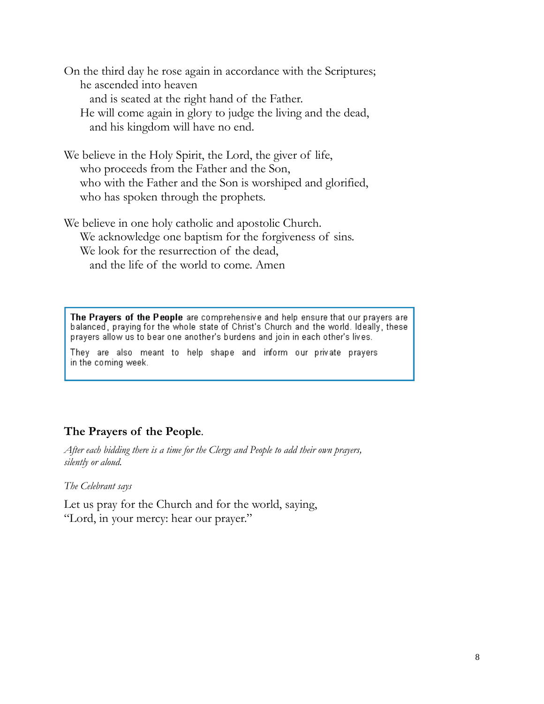On the third day he rose again in accordance with the Scriptures; he ascended into heaven and is seated at the right hand of the Father. He will come again in glory to judge the living and the dead, and his kingdom will have no end.

We believe in the Holy Spirit, the Lord, the giver of life, who proceeds from the Father and the Son, who with the Father and the Son is worshiped and glorified, who has spoken through the prophets.

We believe in one holy catholic and apostolic Church. We acknowledge one baptism for the forgiveness of sins. We look for the resurrection of the dead, and the life of the world to come. Amen

The Prayers of the People are comprehensive and help ensure that our prayers are balanced, praying for the whole state of Christ's Church and the world. Ideally, these prayers allow us to bear one another's burdens and join in each other's lives.

They are also meant to help shape and inform our private prayers in the coming week.

## **The Prayers of the People***.*

*After each bidding there is a time for the Clergy and People to add their own prayers, silently or aloud.*

*The Celebrant says*

Let us pray for the Church and for the world, saying, "Lord, in your mercy: hear our prayer."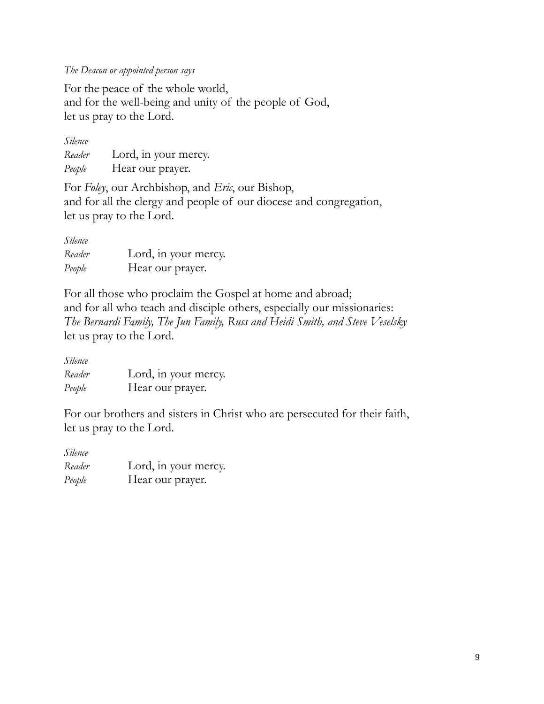*The Deacon or appointed person says*

For the peace of the whole world, and for the well-being and unity of the people of God, let us pray to the Lord.

| Silence |                      |
|---------|----------------------|
| Reader  | Lord, in your mercy. |
| People  | Hear our prayer.     |

For *Foley*, our Archbishop, and *Eric*, our Bishop, and for all the clergy and people of our diocese and congregation, let us pray to the Lord.

| Silence |                      |
|---------|----------------------|
| Reader  | Lord, in your mercy. |
| People  | Hear our prayer.     |

For all those who proclaim the Gospel at home and abroad; and for all who teach and disciple others, especially our missionaries: *The Bernardi Family, The Jun Family, Russ and Heidi Smith, and Steve Veselsky* let us pray to the Lord.

| Silence |                      |
|---------|----------------------|
| Reader  | Lord, in your mercy. |
| People  | Hear our prayer.     |

For our brothers and sisters in Christ who are persecuted for their faith, let us pray to the Lord.

| Silence |                      |
|---------|----------------------|
| Reader  | Lord, in your mercy. |
| People  | Hear our prayer.     |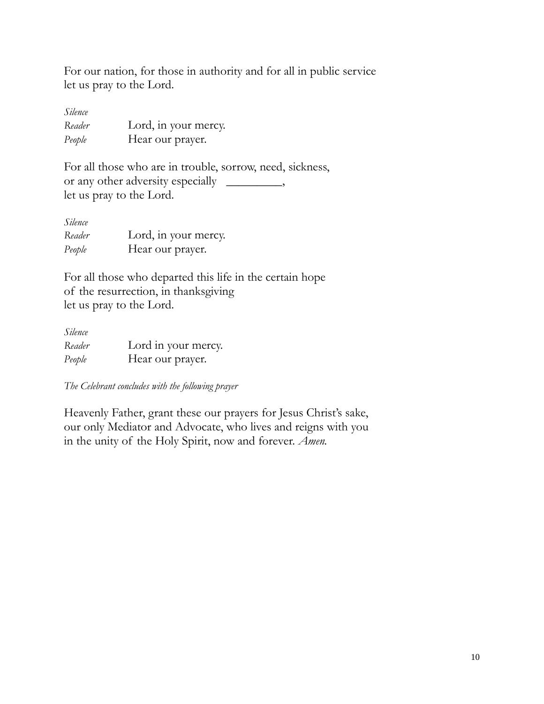For our nation, for those in authority and for all in public service let us pray to the Lord.

| Silence |                      |
|---------|----------------------|
| Reader  | Lord, in your mercy. |
| People  | Hear our prayer.     |

For all those who are in trouble, sorrow, need, sickness, or any other adversity especially \_\_\_\_\_\_\_\_\_, let us pray to the Lord.

| Silence |                      |
|---------|----------------------|
| Reader  | Lord, in your mercy. |
| People  | Hear our prayer.     |

For all those who departed this life in the certain hope of the resurrection, in thanksgiving let us pray to the Lord.

| Silence |                     |
|---------|---------------------|
| Reader  | Lord in your mercy. |
| People  | Hear our prayer.    |

*The Celebrant concludes with the following prayer*

Heavenly Father, grant these our prayers for Jesus Christ's sake, our only Mediator and Advocate, who lives and reigns with you in the unity of the Holy Spirit, now and forever. *Amen.*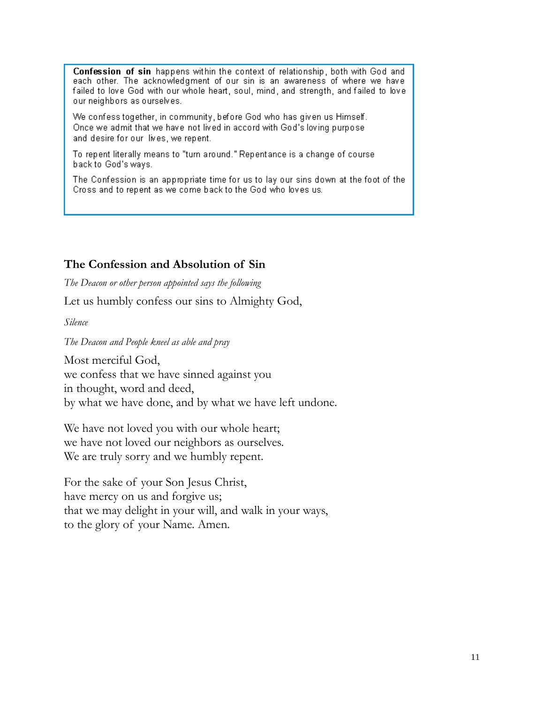Confession of sin happens within the context of relationship, both with God and each other. The acknowledgment of our sin is an awareness of where we have failed to love God with our whole heart, soul, mind, and strength, and failed to love our neighbors as ourselves.

We confess together, in community, before God who has given us Himself. Once we admit that we have not lived in accord with God's loving purpose and desire for our lives, we repent.

To repent literally means to "turn around." Repentance is a change of course back to God's ways.

The Confession is an appropriate time for us to lay our sins down at the foot of the Cross and to repent as we come back to the God who loves us.

#### **The Confession and Absolution of Sin**

*The Deacon or other person appointed says the following*

Let us humbly confess our sins to Almighty God,

*Silence*

*The Deacon and People kneel as able and pray*

Most merciful God,

we confess that we have sinned against you

in thought, word and deed,

by what we have done, and by what we have left undone.

We have not loved you with our whole heart; we have not loved our neighbors as ourselves. We are truly sorry and we humbly repent.

For the sake of your Son Jesus Christ, have mercy on us and forgive us; that we may delight in your will, and walk in your ways, to the glory of your Name. Amen.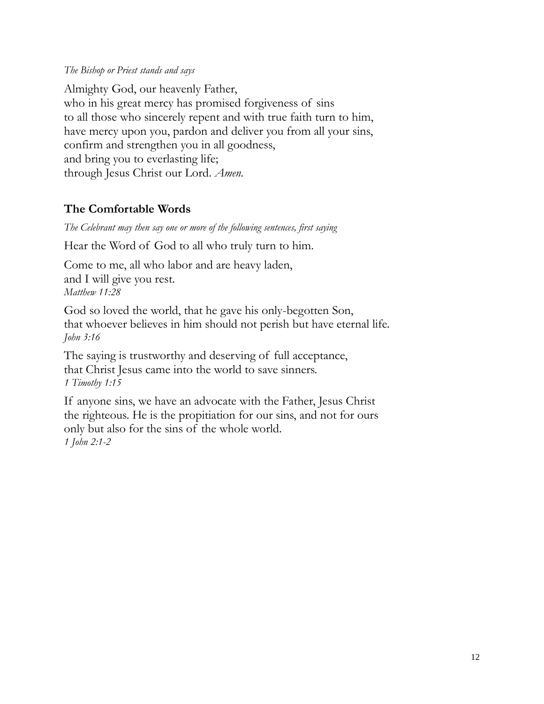#### *The Bishop or Priest stands and says*

Almighty God, our heavenly Father, who in his great mercy has promised forgiveness of sins to all those who sincerely repent and with true faith turn to him, have mercy upon you, pardon and deliver you from all your sins, confirm and strengthen you in all goodness, and bring you to everlasting life; through Jesus Christ our Lord. *Amen.*

## **The Comfortable Words**

*The Celebrant may then say one or more of the following sentences, first saying*

Hear the Word of God to all who truly turn to him.

Come to me, all who labor and are heavy laden, and I will give you rest. *Matthew 11:28*

God so loved the world, that he gave his only-begotten Son, that whoever believes in him should not perish but have eternal life. *John 3:16*

The saying is trustworthy and deserving of full acceptance, that Christ Jesus came into the world to save sinners. *1 Timothy 1:15*

If anyone sins, we have an advocate with the Father, Jesus Christ the righteous. He is the propitiation for our sins, and not for ours only but also for the sins of the whole world. *1 John 2:1-2*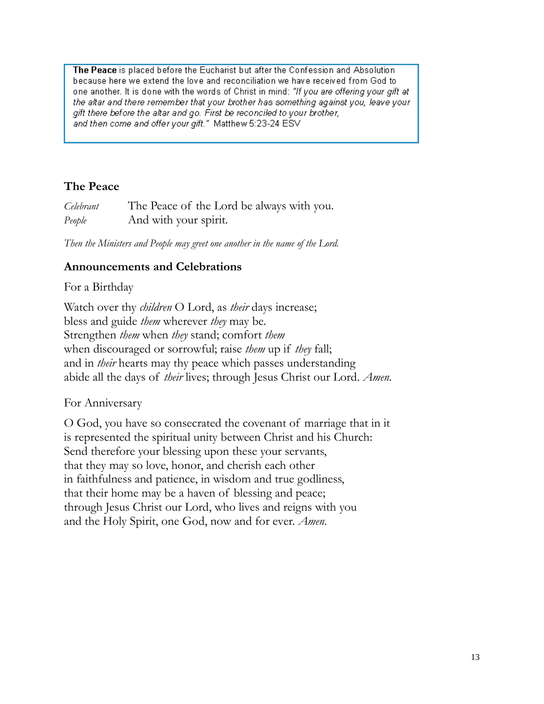The Peace is placed before the Eucharist but after the Confession and Absolution because here we extend the love and reconciliation we have received from God to one another. It is done with the words of Christ in mind: "If you are offering your gift at the altar and there remember that your brother has something against you, leave your gift there before the altar and go. First be reconciled to your brother, and then come and offer your gift." Matthew 5:23-24 ESV

# **The Peace**

| Celebrant | The Peace of the Lord be always with you. |
|-----------|-------------------------------------------|
| People    | And with your spirit.                     |

*Then the Ministers and People may greet one another in the name of the Lord.*

#### **Announcements and Celebrations**

#### For a Birthday

Watch over thy *children* O Lord, as *their* days increase; bless and guide *them* wherever *they* may be. Strengthen *them* when *they* stand; comfort *them*  when discouraged or sorrowful; raise *them* up if *they* fall; and in *their* hearts may thy peace which passes understanding abide all the days of *their* lives; through Jesus Christ our Lord. *Amen*.

#### For Anniversary

O God, you have so consecrated the covenant of marriage that in it is represented the spiritual unity between Christ and his Church: Send therefore your blessing upon these your servants, that they may so love, honor, and cherish each other in faithfulness and patience, in wisdom and true godliness, that their home may be a haven of blessing and peace; through Jesus Christ our Lord, who lives and reigns with you and the Holy Spirit, one God, now and for ever. *Amen.*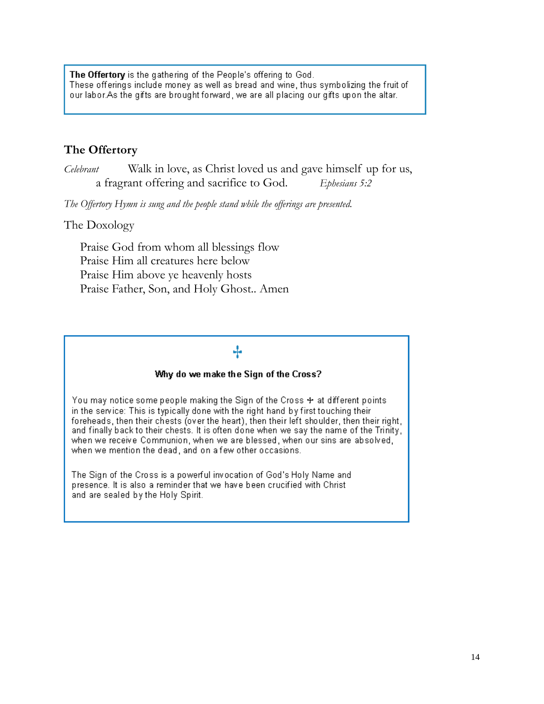The Offertory is the gathering of the People's offering to God. These offerings include money as well as bread and wine, thus symbolizing the fruit of our labor.As the gifts are brought forward, we are all placing our gifts upon the altar.

## **The Offertory**

*Celebrant* Walk in love, as Christ loved us and gave himself up for us, a fragrant offering and sacrifice to God. *Ephesians 5:2*

*The Offertory Hymn is sung and the people stand while the offerings are presented.* 

#### The Doxology

Praise God from whom all blessings flow Praise Him all creatures here below Praise Him above ye heavenly hosts Praise Father, Son, and Holy Ghost.. Amen

# ÷

#### Why do we make the Sign of the Cross?

You may notice some people making the Sign of the Cross + at different points in the service: This is typically done with the right hand by first touching their foreheads, then their chests (over the heart), then their left shoulder, then their right, and finally back to their chests. It is often done when we say the name of the Trinity, when we receive Communion, when we are blessed, when our sins are absolved, when we mention the dead, and on a few other occasions.

The Sign of the Cross is a powerful invocation of God's Holy Name and presence. It is also a reminder that we have been crucified with Christ and are sealed by the Holy Spirit.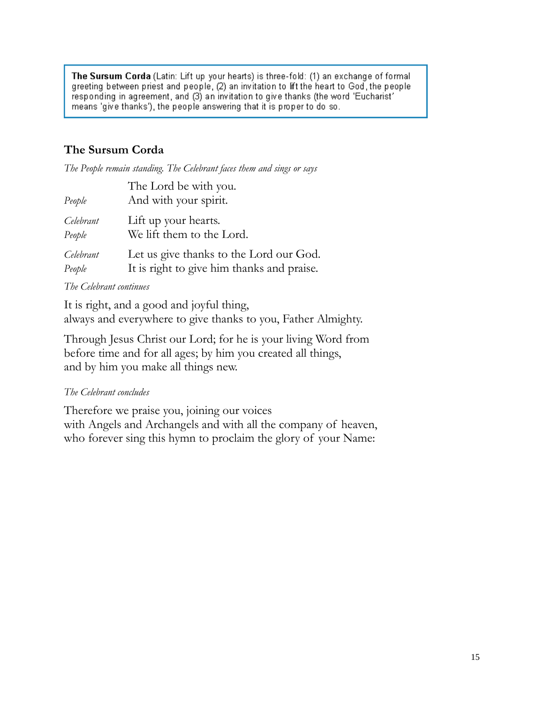The Sursum Corda (Latin: Lift up your hearts) is three-fold: (1) an exchange of formal greeting between priest and people, (2) an invitation to lift the heart to God, the people responding in agreement, and (3) an invitation to give thanks (the word 'Eucharist' means 'give thanks'), the people answering that it is proper to do so.

# **The Sursum Corda**

*The People remain standing. The Celebrant faces them and sings or says*

| People    | The Lord be with you.<br>And with your spirit. |
|-----------|------------------------------------------------|
| Celebrant | Lift up your hearts.                           |
| People    | We lift them to the Lord.                      |
| Celebrant | Let us give thanks to the Lord our God.        |
| People    | It is right to give him thanks and praise.     |

#### *The Celebrant continues*

It is right, and a good and joyful thing, always and everywhere to give thanks to you, Father Almighty.

Through Jesus Christ our Lord; for he is your living Word from before time and for all ages; by him you created all things, and by him you make all things new.

#### *The Celebrant concludes*

Therefore we praise you, joining our voices with Angels and Archangels and with all the company of heaven, who forever sing this hymn to proclaim the glory of your Name: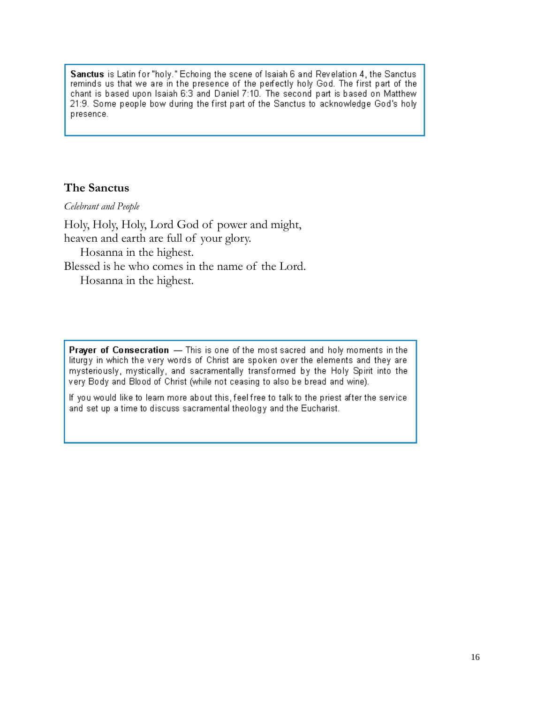Sanctus is Latin for "holy." Echoing the scene of Isaiah 6 and Revelation 4, the Sanctus reminds us that we are in the presence of the perfectly holy God. The first part of the chant is based upon Isaiah 6:3 and Daniel 7:10. The second part is based on Matthew 21:9. Some people bow during the first part of the Sanctus to acknowledge God's holy presence.

#### **The Sanctus**

*Celebrant and People*

Holy, Holy, Holy, Lord God of power and might, heaven and earth are full of your glory. Hosanna in the highest. Blessed is he who comes in the name of the Lord.

Hosanna in the highest.

**Prayer of Consecration** - This is one of the most sacred and holy moments in the liturgy in which the very words of Christ are spoken over the elements and they are mysteriously, mystically, and sacramentally transformed by the Holy Spirit into the very Body and Blood of Christ (while not ceasing to also be bread and wine).

If you would like to learn more about this, feel free to talk to the priest after the service and set up a time to discuss sacramental theology and the Eucharist.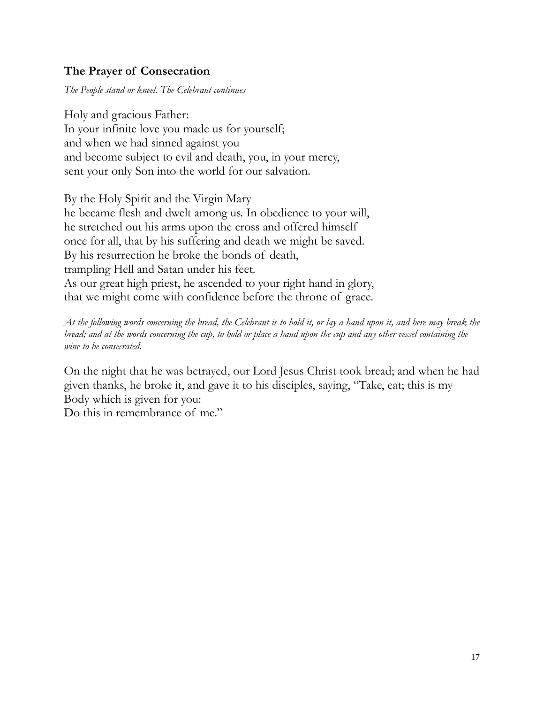# **The Prayer of Consecration**

*The People stand or kneel. The Celebrant continues*

Holy and gracious Father: In your infinite love you made us for yourself; and when we had sinned against you and become subject to evil and death, you, in your mercy, sent your only Son into the world for our salvation.

By the Holy Spirit and the Virgin Mary he became flesh and dwelt among us. In obedience to your will, he stretched out his arms upon the cross and offered himself once for all, that by his suffering and death we might be saved. By his resurrection he broke the bonds of death, trampling Hell and Satan under his feet. As our great high priest, he ascended to your right hand in glory, that we might come with confidence before the throne of grace.

*At the following words concerning the bread, the Celebrant is to hold it, or lay a hand upon it, and here may break the bread; and at the words concerning the cup, to hold or place a hand upon the cup and any other vessel containing the wine to be consecrated.*

On the night that he was betrayed, our Lord Jesus Christ took bread; and when he had given thanks, he broke it, and gave it to his disciples, saying, "Take, eat; this is my Body which is given for you:

Do this in remembrance of me."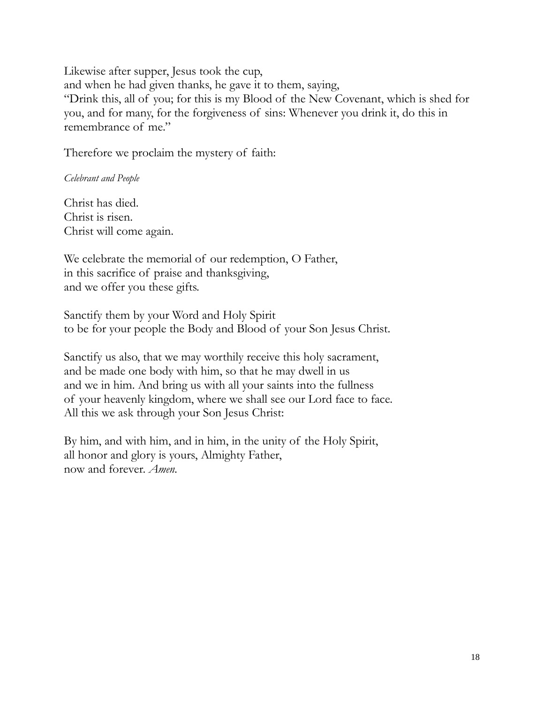Likewise after supper, Jesus took the cup, and when he had given thanks, he gave it to them, saying, "Drink this, all of you; for this is my Blood of the New Covenant, which is shed for you, and for many, for the forgiveness of sins: Whenever you drink it, do this in remembrance of me."

Therefore we proclaim the mystery of faith:

*Celebrant and People*

Christ has died. Christ is risen. Christ will come again.

We celebrate the memorial of our redemption, O Father, in this sacrifice of praise and thanksgiving, and we offer you these gifts.

Sanctify them by your Word and Holy Spirit to be for your people the Body and Blood of your Son Jesus Christ.

Sanctify us also, that we may worthily receive this holy sacrament, and be made one body with him, so that he may dwell in us and we in him. And bring us with all your saints into the fullness of your heavenly kingdom, where we shall see our Lord face to face. All this we ask through your Son Jesus Christ:

By him, and with him, and in him, in the unity of the Holy Spirit, all honor and glory is yours, Almighty Father, now and forever. *Amen.*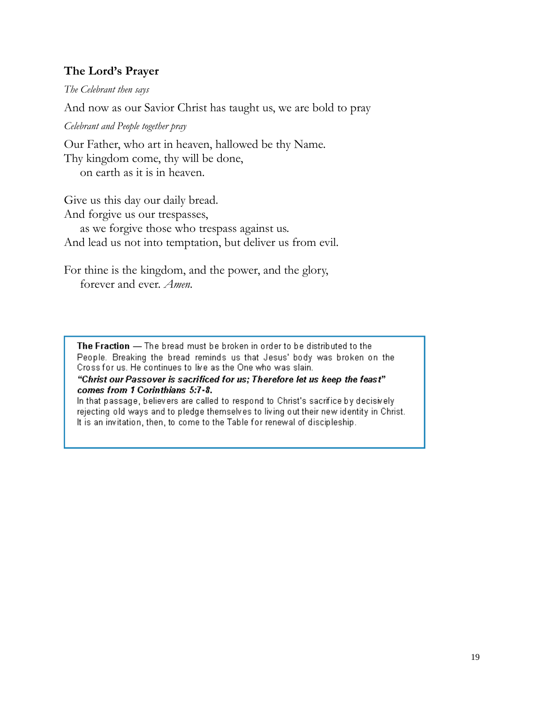## **The Lord's Prayer**

*The Celebrant then says*

And now as our Savior Christ has taught us, we are bold to pray

*Celebrant and People together pray*

Our Father, who art in heaven, hallowed be thy Name. Thy kingdom come, thy will be done, on earth as it is in heaven.

Give us this day our daily bread. And forgive us our trespasses, as we forgive those who trespass against us. And lead us not into temptation, but deliver us from evil.

For thine is the kingdom, and the power, and the glory, forever and ever. *Amen.*

The Fraction - The bread must be broken in order to be distributed to the People. Breaking the bread reminds us that Jesus' body was broken on the Cross for us. He continues to live as the One who was slain.

"Christ our Passover is sacrificed for us; Therefore let us keep the feast" comes from 1 Corinthians 5:7-8.

In that passage, believers are called to respond to Christ's sacrifice by decisively rejecting old ways and to pledge themselves to living out their new identity in Christ. It is an invitation, then, to come to the Table for renewal of discipleship.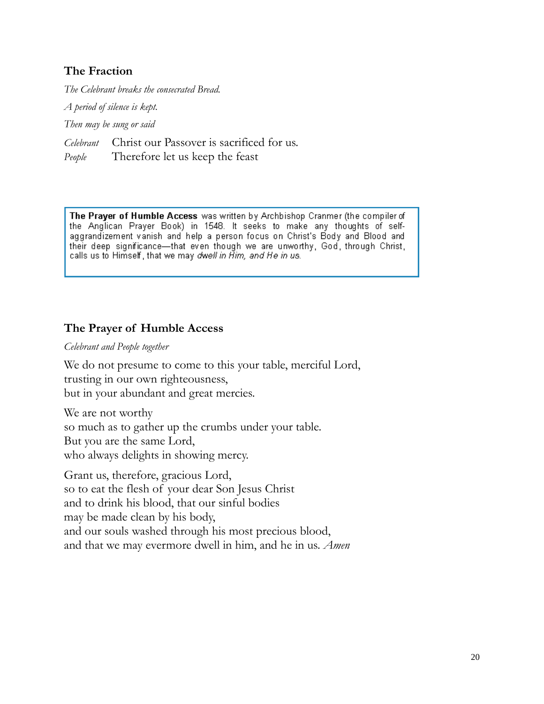# **The Fraction**

*The Celebrant breaks the consecrated Bread.* 

*A period of silence is kept.* 

*Then may be sung or said*

*Celebrant* Christ our Passover is sacrificed for us.

*People* Therefore let us keep the feast

The Prayer of Humble Access was written by Archbishop Cranmer (the compiler of the Anglican Prayer Book) in 1548. It seeks to make any thoughts of selfaggrandizement vanish and help a person focus on Christ's Body and Blood and their deep significance—that even though we are unworthy, God, through Christ, calls us to Himself, that we may dwell in Him, and He in us.

# **The Prayer of Humble Access**

*Celebrant and People together*

We do not presume to come to this your table, merciful Lord, trusting in our own righteousness, but in your abundant and great mercies.

We are not worthy so much as to gather up the crumbs under your table. But you are the same Lord, who always delights in showing mercy.

Grant us, therefore, gracious Lord, so to eat the flesh of your dear Son Jesus Christ and to drink his blood, that our sinful bodies may be made clean by his body, and our souls washed through his most precious blood, and that we may evermore dwell in him, and he in us. *Amen*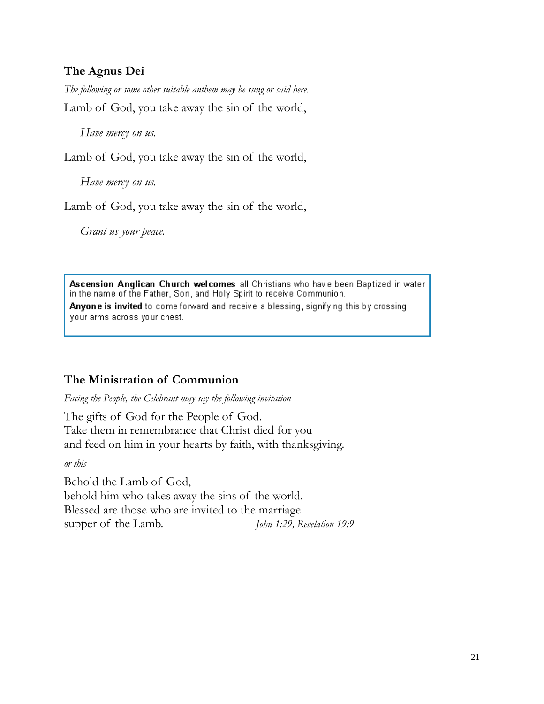# **The Agnus Dei**

*The following or some other suitable anthem may be sung or said here.* Lamb of God, you take away the sin of the world,

*Have mercy on us.*

Lamb of God, you take away the sin of the world,

*Have mercy on us.*

Lamb of God, you take away the sin of the world,

*Grant us your peace.*

Ascension Anglican Church welcomes all Christians who have been Baptized in water in the name of the Father, Son, and Holy Spirit to receive Communion. Anyone is invited to come forward and receive a blessing, signifying this by crossing your arms across your chest.

## **The Ministration of Communion**

*Facing the People, the Celebrant may say the following invitation*

The gifts of God for the People of God. Take them in remembrance that Christ died for you and feed on him in your hearts by faith, with thanksgiving.

*or this*

Behold the Lamb of God, behold him who takes away the sins of the world. Blessed are those who are invited to the marriage supper of the Lamb. *John 1:29, Revelation 19:9*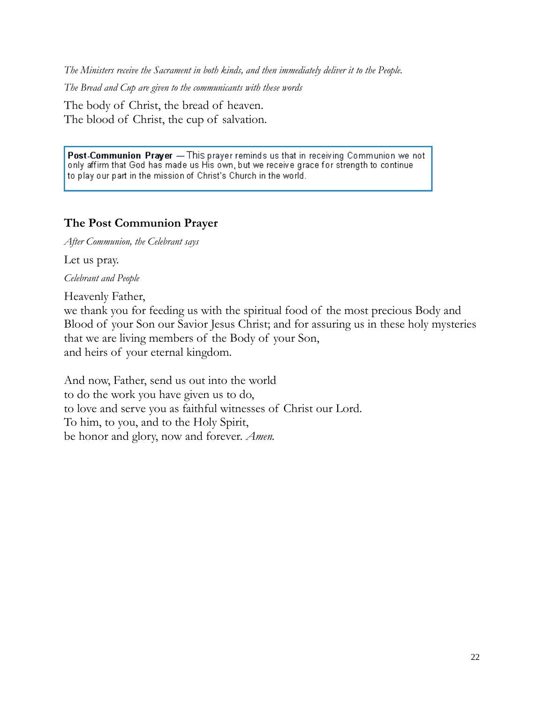*The Ministers receive the Sacrament in both kinds, and then immediately deliver it to the People.* 

*The Bread and Cup are given to the communicants with these words*

The body of Christ, the bread of heaven. The blood of Christ, the cup of salvation.

Post-Communion Prayer - This prayer reminds us that in receiving Communion we not only affirm that God has made us His own, but we receive grace for strength to continue to play our part in the mission of Christ's Church in the world.

#### **The Post Communion Prayer**

*After Communion, the Celebrant says*

Let us pray.

*Celebrant and People*

Heavenly Father,

we thank you for feeding us with the spiritual food of the most precious Body and Blood of your Son our Savior Jesus Christ; and for assuring us in these holy mysteries that we are living members of the Body of your Son, and heirs of your eternal kingdom.

And now, Father, send us out into the world to do the work you have given us to do, to love and serve you as faithful witnesses of Christ our Lord. To him, to you, and to the Holy Spirit, be honor and glory, now and forever. *Amen.*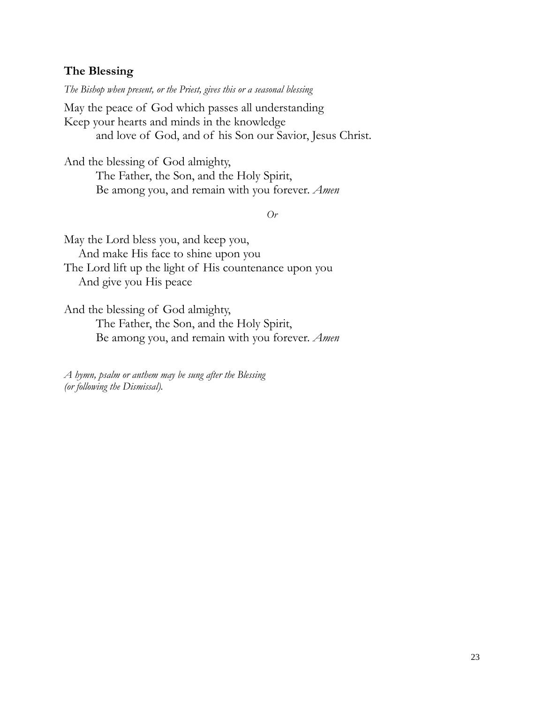#### **The Blessing**

*The Bishop when present, or the Priest, gives this or a seasonal blessing*

May the peace of God which passes all understanding Keep your hearts and minds in the knowledge and love of God, and of his Son our Savior, Jesus Christ.

And the blessing of God almighty, The Father, the Son, and the Holy Spirit, Be among you, and remain with you forever. *Amen*

*Or*

May the Lord bless you, and keep you, And make His face to shine upon you The Lord lift up the light of His countenance upon you And give you His peace

And the blessing of God almighty, The Father, the Son, and the Holy Spirit, Be among you, and remain with you forever. *Amen*

*A hymn, psalm or anthem may be sung after the Blessing (or following the Dismissal).*